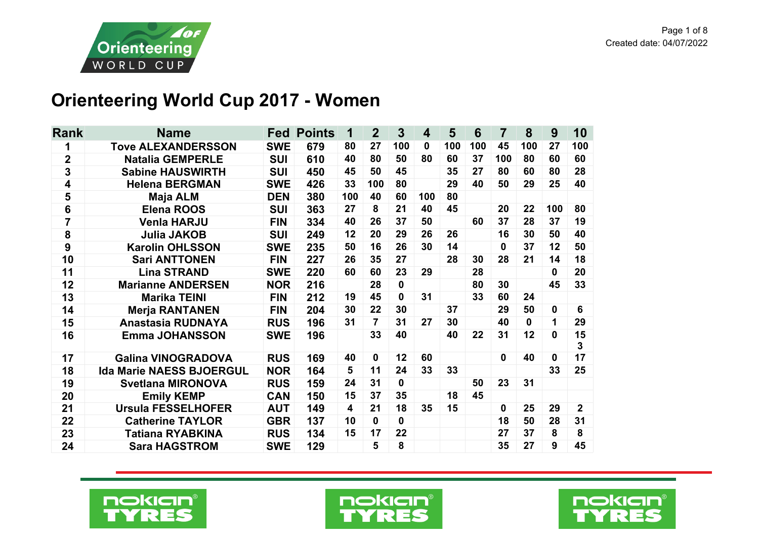

## **Orienteering World Cup 2017 - Women**

| <b>Rank</b>      | <b>Name</b>                     | <b>Fed</b> | <b>Points</b> | 1   | $\mathbf{2}$   | $\mathbf{3}$ | $\overline{\mathbf{4}}$ | 5   | 6   | $\overline{7}$ | 8           | 9            | 10             |
|------------------|---------------------------------|------------|---------------|-----|----------------|--------------|-------------------------|-----|-----|----------------|-------------|--------------|----------------|
| 1                | <b>Tove ALEXANDERSSON</b>       | <b>SWE</b> | 679           | 80  | 27             | 100          | $\mathbf{0}$            | 100 | 100 | 45             | 100         | 27           | 100            |
| $\overline{2}$   | <b>Natalia GEMPERLE</b>         | <b>SUI</b> | 610           | 40  | 80             | 50           | 80                      | 60  | 37  | 100            | 80          | 60           | 60             |
| 3                | <b>Sabine HAUSWIRTH</b>         | <b>SUI</b> | 450           | 45  | 50             | 45           |                         | 35  | 27  | 80             | 60          | 80           | 28             |
| 4                | <b>Helena BERGMAN</b>           | <b>SWE</b> | 426           | 33  | 100            | 80           |                         | 29  | 40  | 50             | 29          | 25           | 40             |
| 5                | <b>Maja ALM</b>                 | <b>DEN</b> | 380           | 100 | 40             | 60           | 100                     | 80  |     |                |             |              |                |
| $\bf 6$          | <b>Elena ROOS</b>               | <b>SUI</b> | 363           | 27  | 8              | 21           | 40                      | 45  |     | 20             | 22          | 100          | 80             |
| 7                | <b>Venla HARJU</b>              | <b>FIN</b> | 334           | 40  | 26             | 37           | 50                      |     | 60  | 37             | 28          | 37           | 19             |
| 8                | <b>Julia JAKOB</b>              | <b>SUI</b> | 249           | 12  | 20             | 29           | 26                      | 26  |     | 16             | 30          | 50           | 40             |
| $\boldsymbol{9}$ | <b>Karolin OHLSSON</b>          | <b>SWE</b> | 235           | 50  | 16             | 26           | 30                      | 14  |     | 0              | 37          | 12           | 50             |
| 10               | <b>Sari ANTTONEN</b>            | <b>FIN</b> | 227           | 26  | 35             | 27           |                         | 28  | 30  | 28             | 21          | 14           | 18             |
| 11               | <b>Lina STRAND</b>              | <b>SWE</b> | 220           | 60  | 60             | 23           | 29                      |     | 28  |                |             | $\mathbf{0}$ | 20             |
| 12               | <b>Marianne ANDERSEN</b>        | <b>NOR</b> | 216           |     | 28             | $\mathbf 0$  |                         |     | 80  | 30             |             | 45           | 33             |
| 13               | <b>Marika TEINI</b>             | <b>FIN</b> | 212           | 19  | 45             | $\mathbf 0$  | 31                      |     | 33  | 60             | 24          |              |                |
| 14               | <b>Merja RANTANEN</b>           | <b>FIN</b> | 204           | 30  | 22             | 30           |                         | 37  |     | 29             | 50          | 0            | 6              |
| 15               | <b>Anastasia RUDNAYA</b>        | <b>RUS</b> | 196           | 31  | $\overline{7}$ | 31           | 27                      | 30  |     | 40             | $\mathbf 0$ | 1            | 29             |
| 16               | <b>Emma JOHANSSON</b>           | <b>SWE</b> | 196           |     | 33             | 40           |                         | 40  | 22  | 31             | 12          | $\bf{0}$     | 15<br>3        |
| 17               | <b>Galina VINOGRADOVA</b>       | <b>RUS</b> | 169           | 40  | $\mathbf 0$    | 12           | 60                      |     |     | $\mathbf 0$    | 40          | $\bf{0}$     | 17             |
| 18               | <b>Ida Marie NAESS BJOERGUL</b> | <b>NOR</b> | 164           | 5   | 11             | 24           | 33                      | 33  |     |                |             | 33           | 25             |
| 19               | <b>Svetlana MIRONOVA</b>        | <b>RUS</b> | 159           | 24  | 31             | $\mathbf{0}$ |                         |     | 50  | 23             | 31          |              |                |
| 20               | <b>Emily KEMP</b>               | <b>CAN</b> | 150           | 15  | 37             | 35           |                         | 18  | 45  |                |             |              |                |
| 21               | <b>Ursula FESSELHOFER</b>       | <b>AUT</b> | 149           | 4   | 21             | 18           | 35                      | 15  |     | $\bf{0}$       | 25          | 29           | $\overline{2}$ |
| 22               | <b>Catherine TAYLOR</b>         | <b>GBR</b> | 137           | 10  | $\mathbf{0}$   | $\mathbf 0$  |                         |     |     | 18             | 50          | 28           | 31             |
| 23               | Tatiana RYABKINA                | <b>RUS</b> | 134           | 15  | 17             | 22           |                         |     |     | 27             | 37          | 8            | 8              |
| 24               | <b>Sara HAGSTROM</b>            | <b>SWE</b> | 129           |     | 5              | 8            |                         |     |     | 35             | 27          | 9            | 45             |





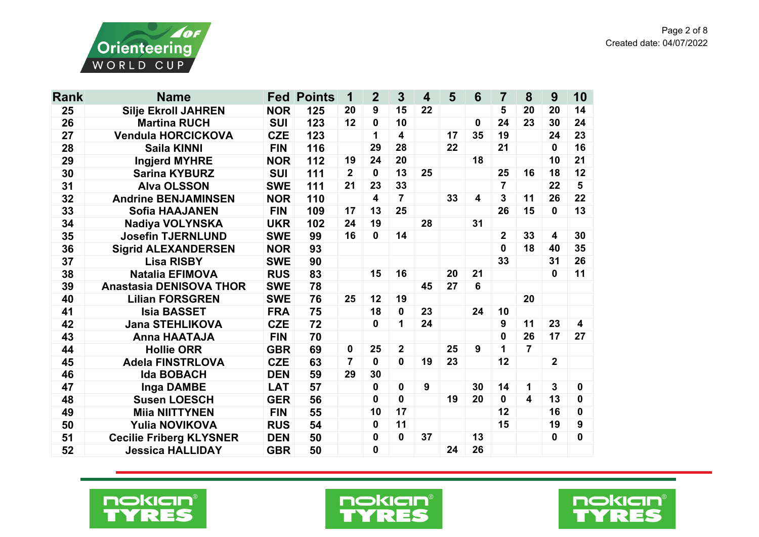

| <b>Rank</b> | <b>Name</b>                    | Fed        | <b>Points</b> | 1              | $\overline{2}$ | 3              | $\overline{\mathbf{4}}$ | 5  | 6           | 7                       | 8                       | 9              | 10                      |
|-------------|--------------------------------|------------|---------------|----------------|----------------|----------------|-------------------------|----|-------------|-------------------------|-------------------------|----------------|-------------------------|
| 25          | <b>Silje Ekroll JAHREN</b>     | <b>NOR</b> | 125           | 20             | 9              | 15             | 22                      |    |             | 5                       | 20                      | 20             | 14                      |
| 26          | <b>Martina RUCH</b>            | <b>SUI</b> | 123           | 12             | 0              | 10             |                         |    | $\mathbf 0$ | 24                      | 23                      | 30             | 24                      |
| 27          | <b>Vendula HORCICKOVA</b>      | <b>CZE</b> | 123           |                | 1              | 4              |                         | 17 | 35          | 19                      |                         | 24             | 23                      |
| 28          | <b>Saila KINNI</b>             | <b>FIN</b> | 116           |                | 29             | 28             |                         | 22 |             | 21                      |                         | 0              | 16                      |
| 29          | <b>Ingjerd MYHRE</b>           | <b>NOR</b> | 112           | 19             | 24             | 20             |                         |    | 18          |                         |                         | 10             | 21                      |
| 30          | <b>Sarina KYBURZ</b>           | <b>SUI</b> | 111           | $\overline{2}$ | $\mathbf{0}$   | 13             | 25                      |    |             | 25                      | 16                      | 18             | 12                      |
| 31          | <b>Alva OLSSON</b>             | <b>SWE</b> | 111           | 21             | 23             | 33             |                         |    |             | $\overline{7}$          |                         | 22             | 5                       |
| 32          | <b>Andrine BENJAMINSEN</b>     | <b>NOR</b> | 110           |                | 4              | $\overline{7}$ |                         | 33 | 4           | 3                       | 11                      | 26             | 22                      |
| 33          | <b>Sofia HAAJANEN</b>          | <b>FIN</b> | 109           | 17             | 13             | 25             |                         |    |             | 26                      | 15                      | 0              | 13                      |
| 34          | <b>Nadiya VOLYNSKA</b>         | <b>UKR</b> | 102           | 24             | 19             |                | 28                      |    | 31          |                         |                         |                |                         |
| 35          | <b>Josefin TJERNLUND</b>       | <b>SWE</b> | 99            | 16             | $\mathbf{0}$   | 14             |                         |    |             | $\overline{\mathbf{2}}$ | 33                      | 4              | 30                      |
| 36          | <b>Sigrid ALEXANDERSEN</b>     | <b>NOR</b> | 93            |                |                |                |                         |    |             | $\mathbf{0}$            | 18                      | 40             | 35                      |
| 37          | <b>Lisa RISBY</b>              | <b>SWE</b> | 90            |                |                |                |                         |    |             | 33                      |                         | 31             | 26                      |
| 38          | <b>Natalia EFIMOVA</b>         | <b>RUS</b> | 83            |                | 15             | 16             |                         | 20 | 21          |                         |                         | 0              | 11                      |
| 39          | <b>Anastasia DENISOVA THOR</b> | <b>SWE</b> | 78            |                |                |                | 45                      | 27 | 6           |                         |                         |                |                         |
| 40          | <b>Lilian FORSGREN</b>         | <b>SWE</b> | 76            | 25             | 12             | 19             |                         |    |             |                         | 20                      |                |                         |
| 41          | <b>Isia BASSET</b>             | <b>FRA</b> | 75            |                | 18             | 0              | 23                      |    | 24          | 10                      |                         |                |                         |
| 42          | <b>Jana STEHLIKOVA</b>         | <b>CZE</b> | 72            |                | $\mathbf{0}$   | 1              | 24                      |    |             | 9                       | 11                      | 23             | $\overline{\mathbf{4}}$ |
| 43          | <b>Anna HAATAJA</b>            | <b>FIN</b> | 70            |                |                |                |                         |    |             | 0                       | 26                      | 17             | 27                      |
| 44          | <b>Hollie ORR</b>              | <b>GBR</b> | 69            | 0              | 25             | $\mathbf{2}$   |                         | 25 | 9           | 1                       | $\overline{7}$          |                |                         |
| 45          | <b>Adela FINSTRLOVA</b>        | <b>CZE</b> | 63            | 7              | $\mathbf{0}$   | $\mathbf{0}$   | 19                      | 23 |             | 12                      |                         | $\overline{2}$ |                         |
| 46          | <b>Ida BOBACH</b>              | <b>DEN</b> | 59            | 29             | 30             |                |                         |    |             |                         |                         |                |                         |
| 47          | <b>Inga DAMBE</b>              | <b>LAT</b> | 57            |                | 0              | $\mathbf 0$    | 9                       |    | 30          | 14                      | 1                       | 3              | 0                       |
| 48          | <b>Susen LOESCH</b>            | <b>GER</b> | 56            |                | $\mathbf{0}$   | $\mathbf{0}$   |                         | 19 | 20          | $\mathbf 0$             | $\overline{\mathbf{4}}$ | 13             | $\mathbf 0$             |
| 49          | <b>Miia NIITTYNEN</b>          | <b>FIN</b> | 55            |                | 10             | 17             |                         |    |             | 12                      |                         | 16             | $\mathbf 0$             |
| 50          | <b>Yulia NOVIKOVA</b>          | <b>RUS</b> | 54            |                | $\mathbf{0}$   | 11             |                         |    |             | 15                      |                         | 19             | 9                       |
| 51          | <b>Cecilie Friberg KLYSNER</b> | <b>DEN</b> | 50            |                | 0              | 0              | 37                      |    | 13          |                         |                         | 0              | 0                       |
| 52          | <b>Jessica HALLIDAY</b>        | <b>GBR</b> | 50            |                | 0              |                |                         | 24 | 26          |                         |                         |                |                         |





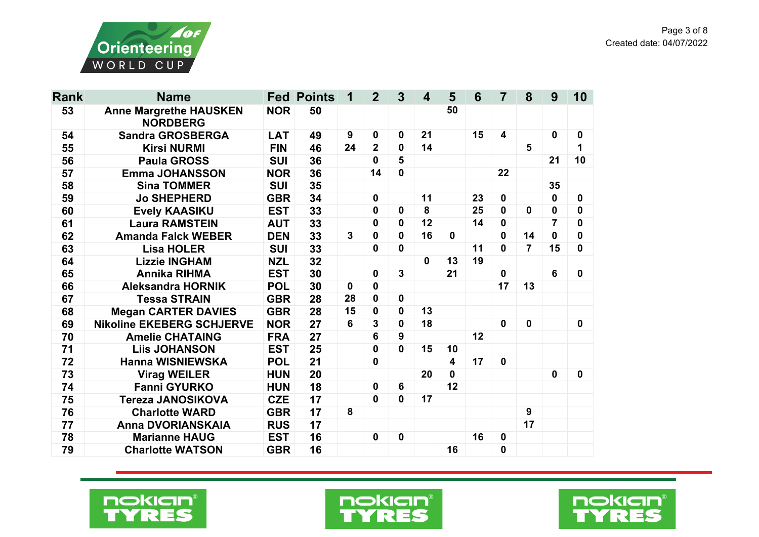

| <b>Rank</b> | <b>Name</b>                                      |            | <b>Fed Points</b> | 1                | $\overline{2}$   | $\overline{3}$ | $\boldsymbol{4}$ | 5  | $6\phantom{1}6$ | $\overline{7}$          | 8              | 9           | 10          |
|-------------|--------------------------------------------------|------------|-------------------|------------------|------------------|----------------|------------------|----|-----------------|-------------------------|----------------|-------------|-------------|
| 53          | <b>Anne Margrethe HAUSKEN</b><br><b>NORDBERG</b> | <b>NOR</b> | 50                |                  |                  |                |                  | 50 |                 |                         |                |             |             |
| 54          | <b>Sandra GROSBERGA</b>                          | <b>LAT</b> | 49                | $\boldsymbol{9}$ | $\boldsymbol{0}$ | 0              | 21               |    | 15              | $\overline{\mathbf{4}}$ |                | $\mathbf 0$ | $\bf{0}$    |
| 55          | <b>Kirsi NURMI</b>                               | <b>FIN</b> | 46                | 24               | $\overline{2}$   | $\mathbf 0$    | 14               |    |                 |                         | $5\phantom{1}$ |             | 1           |
| 56          | <b>Paula GROSS</b>                               | <b>SUI</b> | 36                |                  | $\mathbf{0}$     | 5              |                  |    |                 |                         |                | 21          | 10          |
| 57          | <b>Emma JOHANSSON</b>                            | <b>NOR</b> | 36                |                  | 14               | $\mathbf 0$    |                  |    |                 | 22                      |                |             |             |
| 58          | <b>Sina TOMMER</b>                               | <b>SUI</b> | 35                |                  |                  |                |                  |    |                 |                         |                | 35          |             |
| 59          | <b>Jo SHEPHERD</b>                               | <b>GBR</b> | 34                |                  | $\mathbf 0$      |                | 11               |    | 23              | 0                       |                | 0           | 0           |
| 60          | <b>Evely KAASIKU</b>                             | <b>EST</b> | 33                |                  | $\mathbf{0}$     | 0              | 8                |    | 25              | 0                       | $\mathbf 0$    | 0           | 0           |
| 61          | <b>Laura RAMSTEIN</b>                            | <b>AUT</b> | 33                |                  | $\mathbf 0$      | 0              | 12               |    | 14              | $\mathbf 0$             |                | 7           | $\bf{0}$    |
| 62          | <b>Amanda Falck WEBER</b>                        | <b>DEN</b> | 33                | 3                | $\mathbf 0$      | 0              | 16               | 0  |                 | 0                       | 14             | 0           | $\mathbf 0$ |
| 63          | <b>Lisa HOLER</b>                                | <b>SUI</b> | 33                |                  | $\mathbf 0$      | 0              |                  |    | 11              | $\mathbf 0$             | $\overline{7}$ | 15          | $\mathbf 0$ |
| 64          | <b>Lizzie INGHAM</b>                             | <b>NZL</b> | 32                |                  |                  |                | $\mathbf 0$      | 13 | 19              |                         |                |             |             |
| 65          | <b>Annika RIHMA</b>                              | <b>EST</b> | 30                |                  | 0                | $\mathbf 3$    |                  | 21 |                 | 0                       |                | 6           | 0           |
| 66          | <b>Aleksandra HORNIK</b>                         | <b>POL</b> | 30                | $\mathbf 0$      | $\mathbf 0$      |                |                  |    |                 | 17                      | 13             |             |             |
| 67          | <b>Tessa STRAIN</b>                              | <b>GBR</b> | 28                | 28               | 0                | $\mathbf 0$    |                  |    |                 |                         |                |             |             |
| 68          | <b>Megan CARTER DAVIES</b>                       | <b>GBR</b> | 28                | 15               | $\mathbf 0$      | $\mathbf 0$    | 13               |    |                 |                         |                |             |             |
| 69          | <b>Nikoline EKEBERG SCHJERVE</b>                 | <b>NOR</b> | 27                | 6                | 3                | $\mathbf 0$    | 18               |    |                 | $\mathbf 0$             | $\mathbf 0$    |             | $\mathbf 0$ |
| 70          | <b>Amelie CHATAING</b>                           | <b>FRA</b> | 27                |                  | 6                | 9              |                  |    | 12              |                         |                |             |             |
| 71          | <b>Liis JOHANSON</b>                             | <b>EST</b> | 25                |                  | $\boldsymbol{0}$ | 0              | 15               | 10 |                 |                         |                |             |             |
| 72          | <b>Hanna WISNIEWSKA</b>                          | <b>POL</b> | 21                |                  | $\mathbf 0$      |                |                  | 4  | 17              | 0                       |                |             |             |
| 73          | <b>Virag WEILER</b>                              | <b>HUN</b> | 20                |                  |                  |                | 20               | 0  |                 |                         |                | $\mathbf 0$ | 0           |
| 74          | <b>Fanni GYURKO</b>                              | <b>HUN</b> | 18                |                  | $\mathbf 0$      | $6\phantom{1}$ |                  | 12 |                 |                         |                |             |             |
| 75          | <b>Tereza JANOSIKOVA</b>                         | <b>CZE</b> | 17                |                  | $\mathbf 0$      | 0              | 17               |    |                 |                         |                |             |             |
| 76          | <b>Charlotte WARD</b>                            | <b>GBR</b> | 17                | 8                |                  |                |                  |    |                 |                         | 9              |             |             |
| 77          | Anna DVORIANSKAIA                                | <b>RUS</b> | 17                |                  |                  |                |                  |    |                 |                         | 17             |             |             |
| 78          | <b>Marianne HAUG</b>                             | <b>EST</b> | 16                |                  | $\mathbf 0$      | $\mathbf 0$    |                  |    | 16              | 0                       |                |             |             |
| 79          | <b>Charlotte WATSON</b>                          | <b>GBR</b> | 16                |                  |                  |                |                  | 16 |                 | $\mathbf 0$             |                |             |             |





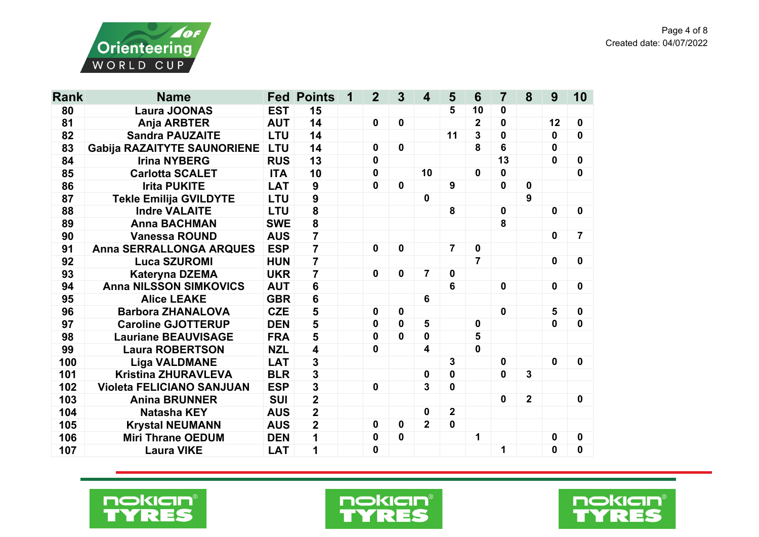

| <b>Rank</b> | <b>Name</b>                        | Fed        | <b>Points</b>           | 1 | $\overline{2}$ | 3            | 4              | 5              | 6                       | $\overline{7}$ | 8              | 9              | 10               |
|-------------|------------------------------------|------------|-------------------------|---|----------------|--------------|----------------|----------------|-------------------------|----------------|----------------|----------------|------------------|
| 80          | <b>Laura JOONAS</b>                | <b>EST</b> | 15                      |   |                |              |                | 5              | 10                      | $\mathbf 0$    |                |                |                  |
| 81          | <b>Anja ARBTER</b>                 | <b>AUT</b> | 14                      |   | $\mathbf 0$    | $\mathbf 0$  |                |                | $\overline{\mathbf{2}}$ | 0              |                | 12             | 0                |
| 82          | <b>Sandra PAUZAITE</b>             | <b>LTU</b> | 14                      |   |                |              |                | 11             | 3                       | $\mathbf 0$    |                | 0              | $\mathbf{0}$     |
| 83          | <b>Gabija RAZAITYTE SAUNORIENE</b> |            | 14                      |   | 0              | $\mathbf 0$  |                |                | 8                       | 6              |                | 0              |                  |
| 84          | <b>Irina NYBERG</b>                | <b>RUS</b> | 13                      |   | $\mathbf 0$    |              |                |                |                         | 13             |                | 0              | $\mathbf 0$      |
| 85          | <b>Carlotta SCALET</b>             | <b>ITA</b> | 10                      |   | $\mathbf 0$    |              | 10             |                | 0                       | $\mathbf 0$    |                |                | $\mathbf 0$      |
| 86          | <b>Irita PUKITE</b>                | <b>LAT</b> | $\boldsymbol{9}$        |   | $\mathbf 0$    | $\mathbf 0$  |                | 9              |                         | 0              | $\mathbf 0$    |                |                  |
| 87          | <b>Tekle Emilija GVILDYTE</b>      | <b>LTU</b> | 9                       |   |                |              | 0              |                |                         |                | 9              |                |                  |
| 88          | <b>Indre VALAITE</b>               | <b>LTU</b> | 8                       |   |                |              |                | 8              |                         | $\mathbf 0$    |                | $\mathbf 0$    | $\mathbf 0$      |
| 89          | <b>Anna BACHMAN</b>                | <b>SWE</b> | 8                       |   |                |              |                |                |                         | 8              |                |                |                  |
| 90          | <b>Vanessa ROUND</b>               | <b>AUS</b> | $\overline{7}$          |   |                |              |                |                |                         |                |                | $\mathbf 0$    | 7                |
| 91          | <b>Anna SERRALLONGA ARQUES</b>     | <b>ESP</b> | $\overline{7}$          |   | $\mathbf 0$    | $\mathbf 0$  |                | $\overline{7}$ | $\mathbf 0$             |                |                |                |                  |
| 92          | <b>Luca SZUROMI</b>                | <b>HUN</b> | $\overline{7}$          |   |                |              |                |                | $\overline{7}$          |                |                | $\mathbf 0$    | $\boldsymbol{0}$ |
| 93          | <b>Kateryna DZEMA</b>              | <b>UKR</b> | $\overline{7}$          |   | $\mathbf 0$    | $\mathbf 0$  | $\overline{7}$ | $\mathbf{0}$   |                         |                |                |                |                  |
| 94          | <b>Anna NILSSON SIMKOVICS</b>      | <b>AUT</b> | $6\phantom{a}$          |   |                |              |                | 6              |                         | $\mathbf 0$    |                | $\mathbf 0$    | 0                |
| 95          | <b>Alice LEAKE</b>                 | <b>GBR</b> | 6                       |   |                |              | 6              |                |                         |                |                |                |                  |
| 96          | <b>Barbora ZHANALOVA</b>           | <b>CZE</b> | 5                       |   | $\bf{0}$       | $\mathbf 0$  |                |                |                         | $\mathbf 0$    |                | $5\phantom{1}$ | $\boldsymbol{0}$ |
| 97          | <b>Caroline GJOTTERUP</b>          | <b>DEN</b> | 5                       |   | $\bf{0}$       | 0            | 5              |                | 0                       |                |                | 0              | $\mathbf 0$      |
| 98          | <b>Lauriane BEAUVISAGE</b>         | <b>FRA</b> | 5                       |   | $\mathbf 0$    | $\mathbf{0}$ | $\mathbf 0$    |                | 5                       |                |                |                |                  |
| 99          | <b>Laura ROBERTSON</b>             | <b>NZL</b> | 4                       |   | 0              |              | 4              |                | $\mathbf{0}$            |                |                |                |                  |
| 100         | <b>Liga VALDMANE</b>               | <b>LAT</b> | $\mathbf 3$             |   |                |              |                | 3              |                         | $\mathbf 0$    |                | $\mathbf{0}$   | 0                |
| 101         | <b>Kristina ZHURAVLEVA</b>         | <b>BLR</b> | $\overline{\mathbf{3}}$ |   |                |              | 0              | $\bf{0}$       |                         | $\mathbf 0$    | $\overline{3}$ |                |                  |
| 102         | <b>Violeta FELICIANO SANJUAN</b>   | <b>ESP</b> | $\overline{\mathbf{3}}$ |   | $\mathbf 0$    |              | 3              | 0              |                         |                |                |                |                  |
| 103         | <b>Anina BRUNNER</b>               | <b>SUI</b> | $\overline{\mathbf{2}}$ |   |                |              |                |                |                         | $\mathbf 0$    | $\overline{2}$ |                | $\mathbf 0$      |
| 104         | <b>Natasha KEY</b>                 | <b>AUS</b> | $\overline{\mathbf{2}}$ |   |                |              | 0              | $\overline{2}$ |                         |                |                |                |                  |
| 105         | <b>Krystal NEUMANN</b>             | <b>AUS</b> | $\overline{\mathbf{2}}$ |   | $\mathbf 0$    | $\mathbf 0$  | $\overline{2}$ | $\mathbf 0$    |                         |                |                |                |                  |
| 106         | <b>Miri Thrane OEDUM</b>           | <b>DEN</b> | 1                       |   | 0              | $\mathbf 0$  |                |                | 1                       |                |                | 0              | 0                |
| 107         | <b>Laura VIKE</b>                  | <b>LAT</b> | 1                       |   | $\bf{0}$       |              |                |                |                         | 1              |                | 0              | $\bf{0}$         |





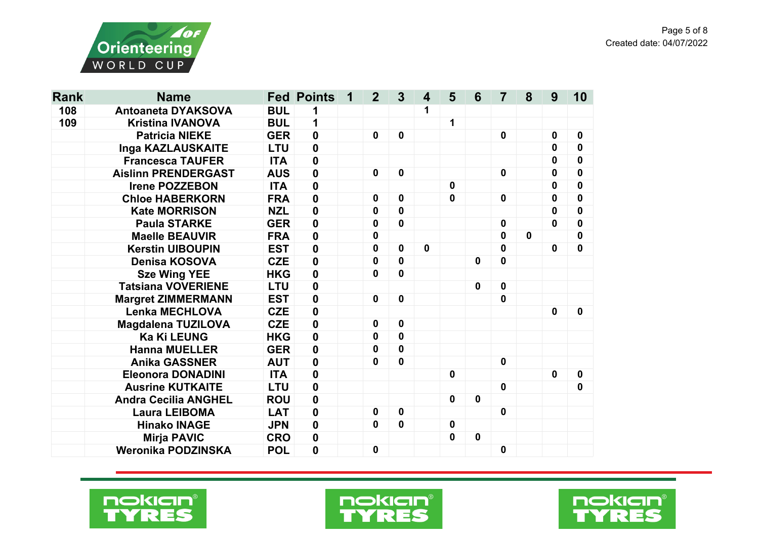

| <b>Rank</b> | <b>Name</b>                 |            | <b>Fed Points</b> | 1 | $\mathbf{2}$     | $\mathbf{3}$ | $\boldsymbol{4}$ | 5           | 6           | 7            | 8           | 9            | 10           |
|-------------|-----------------------------|------------|-------------------|---|------------------|--------------|------------------|-------------|-------------|--------------|-------------|--------------|--------------|
| 108         | <b>Antoaneta DYAKSOVA</b>   | <b>BUL</b> | 1                 |   |                  |              | 1                |             |             |              |             |              |              |
| 109         | <b>Kristina IVANOVA</b>     | <b>BUL</b> | 1                 |   |                  |              |                  | 1           |             |              |             |              |              |
|             | <b>Patricia NIEKE</b>       | <b>GER</b> | $\mathbf 0$       |   | 0                | $\mathbf 0$  |                  |             |             | $\mathbf 0$  |             | $\bf{0}$     | $\mathbf 0$  |
|             | Inga KAZLAUSKAITE           | <b>LTU</b> | $\pmb{0}$         |   |                  |              |                  |             |             |              |             | $\mathbf 0$  | 0            |
|             | <b>Francesca TAUFER</b>     | <b>ITA</b> | $\mathbf 0$       |   |                  |              |                  |             |             |              |             | $\mathbf{0}$ | $\mathbf{0}$ |
|             | <b>Aislinn PRENDERGAST</b>  | <b>AUS</b> | $\mathbf 0$       |   | $\mathbf 0$      | $\mathbf 0$  |                  |             |             | $\mathbf 0$  |             | 0            | 0            |
|             | <b>Irene POZZEBON</b>       | <b>ITA</b> | $\mathbf 0$       |   |                  |              |                  | $\mathbf 0$ |             |              |             | 0            | 0            |
|             | <b>Chloe HABERKORN</b>      | <b>FRA</b> | $\mathbf 0$       |   | 0                | $\mathbf 0$  |                  | $\mathbf 0$ |             | $\mathbf 0$  |             | $\mathbf 0$  | $\mathbf 0$  |
|             | <b>Kate MORRISON</b>        | <b>NZL</b> | 0                 |   | 0                | 0            |                  |             |             |              |             | $\mathbf 0$  | 0            |
|             | <b>Paula STARKE</b>         | <b>GER</b> | $\mathbf 0$       |   | 0                | 0            |                  |             |             | $\mathbf 0$  |             | $\mathbf{0}$ | $\mathbf 0$  |
|             | <b>Maelle BEAUVIR</b>       | <b>FRA</b> | $\mathbf 0$       |   | 0                |              |                  |             |             | 0            | $\mathbf 0$ |              | 0            |
|             | <b>Kerstin UIBOUPIN</b>     | <b>EST</b> | $\mathbf 0$       |   | 0                | 0            | 0                |             |             | 0            |             | $\mathbf 0$  | $\mathbf 0$  |
|             | <b>Denisa KOSOVA</b>        | <b>CZE</b> | $\mathbf 0$       |   | 0                | 0            |                  |             | 0           | $\mathbf 0$  |             |              |              |
|             | <b>Sze Wing YEE</b>         | <b>HKG</b> | $\mathbf 0$       |   | 0                | 0            |                  |             |             |              |             |              |              |
|             | <b>Tatsiana VOVERIENE</b>   | <b>LTU</b> | $\mathbf 0$       |   |                  |              |                  |             | 0           | $\mathbf 0$  |             |              |              |
|             | <b>Margret ZIMMERMANN</b>   | <b>EST</b> | $\mathbf 0$       |   | $\boldsymbol{0}$ | $\mathbf 0$  |                  |             |             | $\mathbf 0$  |             |              |              |
|             | <b>Lenka MECHLOVA</b>       | <b>CZE</b> | $\mathbf 0$       |   |                  |              |                  |             |             |              |             | $\mathbf 0$  | $\mathbf 0$  |
|             | <b>Magdalena TUZILOVA</b>   | <b>CZE</b> | $\mathbf 0$       |   | 0                | 0            |                  |             |             |              |             |              |              |
|             | <b>Ka Ki LEUNG</b>          | <b>HKG</b> | $\mathbf 0$       |   | 0                | 0            |                  |             |             |              |             |              |              |
|             | <b>Hanna MUELLER</b>        | <b>GER</b> | 0                 |   | 0                | 0            |                  |             |             |              |             |              |              |
|             | <b>Anika GASSNER</b>        | <b>AUT</b> | $\mathbf 0$       |   | 0                | 0            |                  |             |             | $\mathbf 0$  |             |              |              |
|             | <b>Eleonora DONADINI</b>    | <b>ITA</b> | $\mathbf 0$       |   |                  |              |                  | $\mathbf 0$ |             |              |             | $\mathbf 0$  | $\mathbf 0$  |
|             | <b>Ausrine KUTKAITE</b>     | <b>LTU</b> | $\mathbf 0$       |   |                  |              |                  |             |             | $\mathbf 0$  |             |              | 0            |
|             | <b>Andra Cecilia ANGHEL</b> | <b>ROU</b> | $\mathbf 0$       |   |                  |              |                  | $\mathbf 0$ | $\mathbf 0$ |              |             |              |              |
|             | <b>Laura LEIBOMA</b>        | <b>LAT</b> | $\pmb{0}$         |   | 0                | 0            |                  |             |             | $\mathbf{0}$ |             |              |              |
|             | <b>Hinako INAGE</b>         | <b>JPN</b> | $\mathbf 0$       |   | $\mathbf 0$      | $\mathbf 0$  |                  | $\mathbf 0$ |             |              |             |              |              |
|             | <b>Mirja PAVIC</b>          | <b>CRO</b> | 0                 |   |                  |              |                  | 0           | $\mathbf 0$ |              |             |              |              |
|             | <b>Weronika PODZINSKA</b>   | <b>POL</b> | $\mathbf 0$       |   | $\boldsymbol{0}$ |              |                  |             |             | 0            |             |              |              |





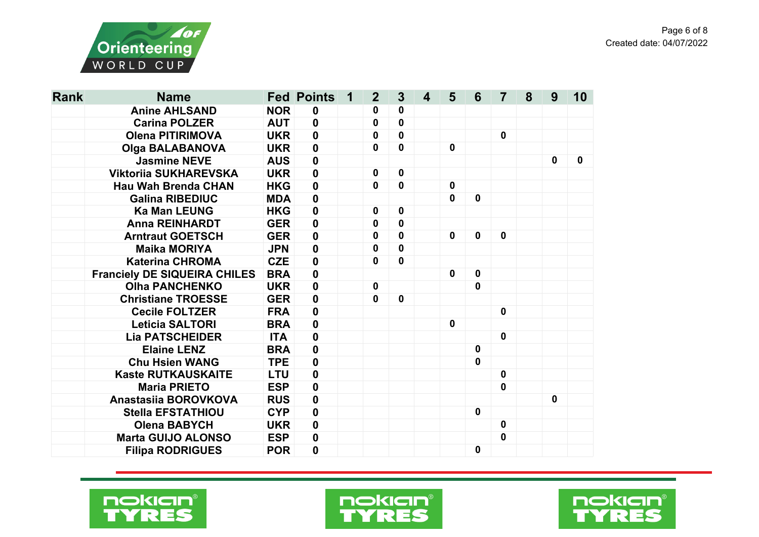

| <b>Rank</b> | <b>Name</b>                         |            | <b>Fed Points</b> | 1 | $\mathbf{2}$ | $\mathbf{3}$ | $\overline{\mathbf{4}}$ | 5           | 6                | 7           | 8 | 9            | 10 |
|-------------|-------------------------------------|------------|-------------------|---|--------------|--------------|-------------------------|-------------|------------------|-------------|---|--------------|----|
|             | <b>Anine AHLSAND</b>                | <b>NOR</b> | $\boldsymbol{0}$  |   | 0            | 0            |                         |             |                  |             |   |              |    |
|             | <b>Carina POLZER</b>                | <b>AUT</b> | $\mathbf 0$       |   | 0            | $\mathbf 0$  |                         |             |                  |             |   |              |    |
|             | <b>Olena PITIRIMOVA</b>             | <b>UKR</b> | $\mathbf 0$       |   | 0            | $\mathbf 0$  |                         |             |                  | $\mathbf 0$ |   |              |    |
|             | <b>Olga BALABANOVA</b>              | <b>UKR</b> | $\mathbf 0$       |   | 0            | $\mathbf 0$  |                         | $\mathbf 0$ |                  |             |   |              |    |
|             | <b>Jasmine NEVE</b>                 | <b>AUS</b> | $\mathbf 0$       |   |              |              |                         |             |                  |             |   | $\mathbf 0$  | 0  |
|             | <b>Viktorija SUKHAREVSKA</b>        | <b>UKR</b> | $\mathbf 0$       |   | 0            | $\mathbf 0$  |                         |             |                  |             |   |              |    |
|             | <b>Hau Wah Brenda CHAN</b>          | <b>HKG</b> | $\pmb{0}$         |   | $\mathbf{0}$ | $\mathbf 0$  |                         | $\mathbf 0$ |                  |             |   |              |    |
|             | <b>Galina RIBEDIUC</b>              | <b>MDA</b> | $\mathbf 0$       |   |              |              |                         | $\mathbf 0$ | $\mathbf 0$      |             |   |              |    |
|             | <b>Ka Man LEUNG</b>                 | <b>HKG</b> | $\pmb{0}$         |   | 0            | $\mathbf 0$  |                         |             |                  |             |   |              |    |
|             | <b>Anna REINHARDT</b>               | <b>GER</b> | $\pmb{0}$         |   | 0            | $\mathbf 0$  |                         |             |                  |             |   |              |    |
|             | <b>Arntraut GOETSCH</b>             | <b>GER</b> | $\pmb{0}$         |   | $\mathbf 0$  | $\mathbf 0$  |                         | $\mathbf 0$ | $\mathbf 0$      | $\mathbf 0$ |   |              |    |
|             | <b>Maika MORIYA</b>                 | <b>JPN</b> | $\mathbf 0$       |   | $\mathbf 0$  | $\mathbf 0$  |                         |             |                  |             |   |              |    |
|             | <b>Katerina CHROMA</b>              | <b>CZE</b> | $\mathbf 0$       |   | $\mathbf 0$  | 0            |                         |             |                  |             |   |              |    |
|             | <b>Franciely DE SIQUEIRA CHILES</b> | <b>BRA</b> | $\mathbf 0$       |   |              |              |                         | $\mathbf 0$ | $\mathbf 0$      |             |   |              |    |
|             | <b>Olha PANCHENKO</b>               | <b>UKR</b> | $\mathbf 0$       |   | $\mathbf 0$  |              |                         |             | $\mathbf 0$      |             |   |              |    |
|             | <b>Christiane TROESSE</b>           | <b>GER</b> | $\mathbf 0$       |   | 0            | $\mathbf 0$  |                         |             |                  |             |   |              |    |
|             | <b>Cecile FOLTZER</b>               | <b>FRA</b> | $\mathbf 0$       |   |              |              |                         |             |                  | $\mathbf 0$ |   |              |    |
|             | <b>Leticia SALTORI</b>              | <b>BRA</b> | $\pmb{0}$         |   |              |              |                         | $\mathbf 0$ |                  |             |   |              |    |
|             | <b>Lia PATSCHEIDER</b>              | <b>ITA</b> | $\mathbf 0$       |   |              |              |                         |             |                  | $\mathbf 0$ |   |              |    |
|             | <b>Elaine LENZ</b>                  | <b>BRA</b> | $\mathbf 0$       |   |              |              |                         |             | $\mathbf 0$      |             |   |              |    |
|             | <b>Chu Hsien WANG</b>               | <b>TPE</b> | $\pmb{0}$         |   |              |              |                         |             | $\mathbf 0$      |             |   |              |    |
|             | <b>Kaste RUTKAUSKAITE</b>           | <b>LTU</b> | $\mathbf 0$       |   |              |              |                         |             |                  | $\mathbf 0$ |   |              |    |
|             | <b>Maria PRIETO</b>                 | <b>ESP</b> | $\mathbf 0$       |   |              |              |                         |             |                  | $\mathbf 0$ |   |              |    |
|             | Anastasiia BOROVKOVA                | <b>RUS</b> | $\mathbf 0$       |   |              |              |                         |             |                  |             |   | $\mathbf{0}$ |    |
|             | <b>Stella EFSTATHIOU</b>            | <b>CYP</b> | $\pmb{0}$         |   |              |              |                         |             | $\boldsymbol{0}$ |             |   |              |    |
|             | <b>Olena BABYCH</b>                 | <b>UKR</b> | $\mathbf 0$       |   |              |              |                         |             |                  | $\mathbf 0$ |   |              |    |
|             | <b>Marta GUIJO ALONSO</b>           | <b>ESP</b> | $\mathbf 0$       |   |              |              |                         |             |                  | $\mathbf 0$ |   |              |    |
|             | <b>Filipa RODRIGUES</b>             | <b>POR</b> | 0                 |   |              |              |                         |             | $\mathbf 0$      |             |   |              |    |





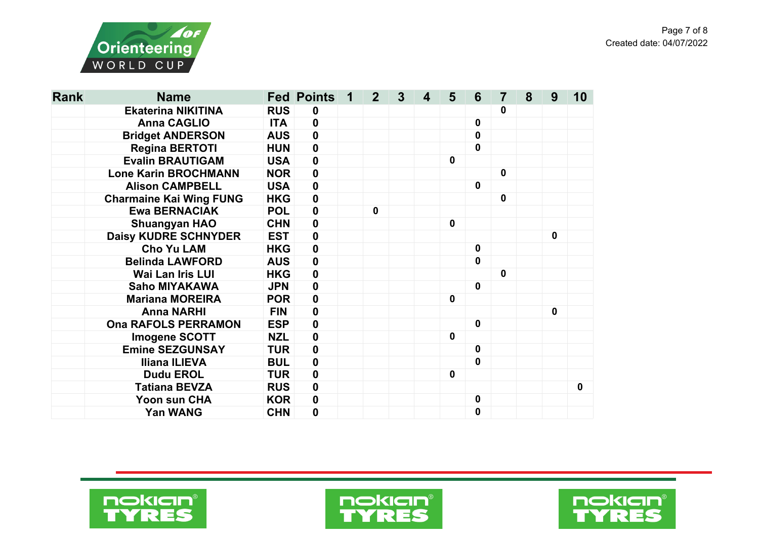

| <b>Rank</b> | <b>Name</b>                    |            | <b>Fed Points</b> | 1 | 2 <sup>2</sup> | $\mathbf{3}$ | 4 | 5            | 6           | 7           | 8 | 9           | 10          |
|-------------|--------------------------------|------------|-------------------|---|----------------|--------------|---|--------------|-------------|-------------|---|-------------|-------------|
|             | <b>Ekaterina NIKITINA</b>      | <b>RUS</b> | $\mathbf 0$       |   |                |              |   |              |             | 0           |   |             |             |
|             | <b>Anna CAGLIO</b>             | <b>ITA</b> | $\mathbf 0$       |   |                |              |   |              | 0           |             |   |             |             |
|             | <b>Bridget ANDERSON</b>        | <b>AUS</b> | $\mathbf 0$       |   |                |              |   |              | $\mathbf 0$ |             |   |             |             |
|             | <b>Regina BERTOTI</b>          | <b>HUN</b> | $\pmb{0}$         |   |                |              |   |              | $\mathbf 0$ |             |   |             |             |
|             | <b>Evalin BRAUTIGAM</b>        | <b>USA</b> | $\mathbf 0$       |   |                |              |   | $\mathbf{0}$ |             |             |   |             |             |
|             | <b>Lone Karin BROCHMANN</b>    | <b>NOR</b> | $\pmb{0}$         |   |                |              |   |              |             | $\mathbf 0$ |   |             |             |
|             | <b>Alison CAMPBELL</b>         | <b>USA</b> | $\pmb{0}$         |   |                |              |   |              | 0           |             |   |             |             |
|             | <b>Charmaine Kai Wing FUNG</b> | <b>HKG</b> | $\pmb{0}$         |   |                |              |   |              |             | $\mathbf 0$ |   |             |             |
|             | <b>Ewa BERNACIAK</b>           | <b>POL</b> | $\pmb{0}$         |   | $\mathbf{0}$   |              |   |              |             |             |   |             |             |
|             | <b>Shuangyan HAO</b>           | <b>CHN</b> | $\mathbf 0$       |   |                |              |   | $\mathbf 0$  |             |             |   |             |             |
|             | <b>Daisy KUDRE SCHNYDER</b>    | <b>EST</b> | $\pmb{0}$         |   |                |              |   |              |             |             |   | $\mathbf 0$ |             |
|             | <b>Cho Yu LAM</b>              | <b>HKG</b> | $\pmb{0}$         |   |                |              |   |              | $\mathbf 0$ |             |   |             |             |
|             | <b>Belinda LAWFORD</b>         | <b>AUS</b> | $\pmb{0}$         |   |                |              |   |              | 0           |             |   |             |             |
|             | <b>Wai Lan Iris LUI</b>        | <b>HKG</b> | $\mathbf 0$       |   |                |              |   |              |             | $\mathbf 0$ |   |             |             |
|             | <b>Saho MIYAKAWA</b>           | <b>JPN</b> | $\pmb{0}$         |   |                |              |   |              | 0           |             |   |             |             |
|             | <b>Mariana MOREIRA</b>         | <b>POR</b> | $\pmb{0}$         |   |                |              |   | $\mathbf 0$  |             |             |   |             |             |
|             | <b>Anna NARHI</b>              | <b>FIN</b> | $\mathbf 0$       |   |                |              |   |              |             |             |   | $\mathbf 0$ |             |
|             | <b>Ona RAFOLS PERRAMON</b>     | <b>ESP</b> | $\pmb{0}$         |   |                |              |   |              | $\mathbf 0$ |             |   |             |             |
|             | <b>Imogene SCOTT</b>           | <b>NZL</b> | $\boldsymbol{0}$  |   |                |              |   | $\mathbf 0$  |             |             |   |             |             |
|             | <b>Emine SEZGUNSAY</b>         | <b>TUR</b> | $\mathbf 0$       |   |                |              |   |              | 0           |             |   |             |             |
|             | <b>Iliana ILIEVA</b>           | <b>BUL</b> | $\pmb{0}$         |   |                |              |   |              | 0           |             |   |             |             |
|             | <b>Dudu EROL</b>               | <b>TUR</b> | $\mathbf 0$       |   |                |              |   | $\mathbf 0$  |             |             |   |             |             |
|             | <b>Tatiana BEVZA</b>           | <b>RUS</b> | $\pmb{0}$         |   |                |              |   |              |             |             |   |             | $\mathbf 0$ |
|             | Yoon sun CHA                   | <b>KOR</b> | $\pmb{0}$         |   |                |              |   |              | 0           |             |   |             |             |
|             | <b>Yan WANG</b>                | <b>CHN</b> | $\mathbf 0$       |   |                |              |   |              | $\mathbf 0$ |             |   |             |             |